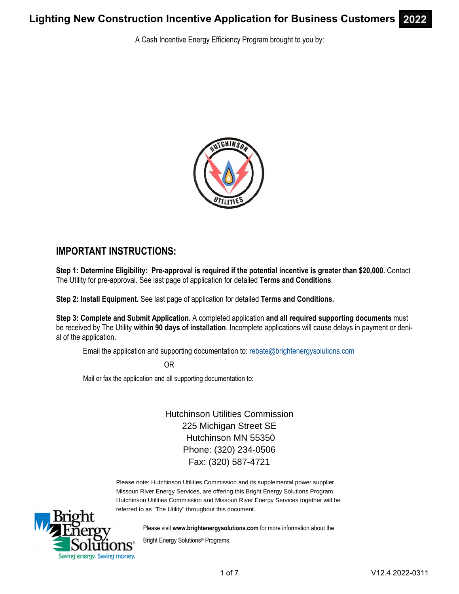A Cash Incentive Energy Efficiency Program brought to you by:



## **IMPORTANT INSTRUCTIONS:**

**Step 1: Determine Eligibility: Pre-approval is required if the potential incentive is greater than \$20,000.** Contact The Utility for pre-approval. See last page of application for detailed **Terms and Conditions**.

**Step 2: Install Equipment.** See last page of application for detailed **Terms and Conditions.** 

**Step 3: Complete and Submit Application.** A completed application **and all required supporting documents** must be received by The Utility **within 90 days of installation**. Incomplete applications will cause delays in payment or denial of the application.

Email the application and supporting documentation to: rebate@brightenergysolutions.com

OR

Mail or fax the application and all supporting documentation to:

Hutchinson Utilities Commission 225 Michigan Street SE Hutchinson MN 55350 Phone: (320) 234-0506 Fax: (320) 587-4721

Please note: Hutchinson Utilities Commission and its supplemental power supplier, Missouri River Energy Services, are offering this Bright Energy Solutions Program. Hutchinson Utilities Commission and Missouri River Energy Services together will be referred to as "The Utility" throughout this document.



Please visit **www.brightenergysolutions.com** for more information about the

Bright Energy Solutions® Programs.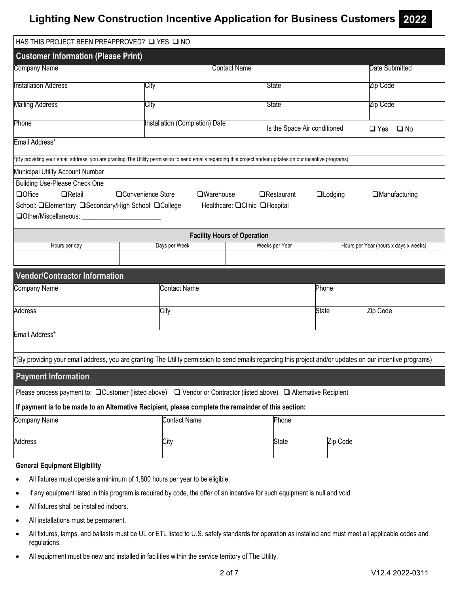| HAS THIS PROJECT BEEN PREAPPROVED? Q YES Q NO                                                                                                                              |                                |                                                   |  |                              |                 |                                       |  |
|----------------------------------------------------------------------------------------------------------------------------------------------------------------------------|--------------------------------|---------------------------------------------------|--|------------------------------|-----------------|---------------------------------------|--|
| <b>Customer Information (Please Print)</b>                                                                                                                                 |                                |                                                   |  |                              |                 |                                       |  |
| Company Name                                                                                                                                                               |                                | Contact Name                                      |  |                              |                 | Date Submitted                        |  |
| Installation Address                                                                                                                                                       | City                           |                                                   |  | State                        |                 | Zip Code                              |  |
| <b>Mailing Address</b>                                                                                                                                                     |                                |                                                   |  |                              |                 | Zip Code                              |  |
|                                                                                                                                                                            | City                           |                                                   |  | State                        |                 |                                       |  |
| Phone                                                                                                                                                                      | Installation (Completion) Date |                                                   |  | Is the Space Air conditioned |                 | $\Box$ Yes<br>$\square$ No            |  |
| Email Address*                                                                                                                                                             |                                |                                                   |  |                              |                 |                                       |  |
| *(By providing your email address, you are granting The Utility permission to send emails regarding this project and/or updates on our incentive programs)                 |                                |                                                   |  |                              |                 |                                       |  |
| Municipal Utility Account Number                                                                                                                                           |                                |                                                   |  |                              |                 |                                       |  |
| <b>Building Use-Please Check One</b><br><b>QOffice</b><br>$\Box$ Retail<br>School: <b>QElementary QSecondary/High School QCollege</b><br>□Other/Miscellaneous:             | □Convenience Store             | $\Box$ Warehouse<br>Healthcare: □Clinic □Hospital |  | $\Box$ Restaurant            | <b>QLodging</b> | $\Box$ Manufacturing                  |  |
|                                                                                                                                                                            |                                | <b>Facility Hours of Operation</b>                |  |                              |                 |                                       |  |
| Hours per day                                                                                                                                                              | Days per Week                  |                                                   |  | Weeks per Year               |                 | Hours per Year (hours x days x weeks) |  |
|                                                                                                                                                                            |                                |                                                   |  |                              |                 |                                       |  |
| <b>Vendor/Contractor Information</b>                                                                                                                                       |                                |                                                   |  |                              |                 |                                       |  |
| Company Name                                                                                                                                                               | <b>Contact Name</b>            | Phone                                             |  |                              |                 |                                       |  |
| Address                                                                                                                                                                    | City                           |                                                   |  |                              | <b>State</b>    | Zip Code                              |  |
| Email Address*                                                                                                                                                             |                                |                                                   |  |                              |                 |                                       |  |
| *(By providing your email address, you are granting The Utility permission to send emails regarding this project and/or updates on our incentive programs)                 |                                |                                                   |  |                              |                 |                                       |  |
| <b>Payment Information</b>                                                                                                                                                 |                                |                                                   |  |                              |                 |                                       |  |
| Please process payment to: $\Box$ Customer (listed above) $\Box$ Vendor or Contractor (listed above) $\Box$ Alternative Recipient                                          |                                |                                                   |  |                              |                 |                                       |  |
| If payment is to be made to an Alternative Recipient, please complete the remainder of this section:                                                                       |                                |                                                   |  |                              |                 |                                       |  |
| Company Name                                                                                                                                                               | <b>Contact Name</b>            |                                                   |  | Phone                        |                 |                                       |  |
| Address                                                                                                                                                                    | City                           |                                                   |  | <b>State</b>                 | Zip Code        |                                       |  |
| <b>General Equipment Eligibility</b>                                                                                                                                       |                                |                                                   |  |                              |                 |                                       |  |
| All fixtures must operate a minimum of 1,800 hours per year to be eligible.<br>٠                                                                                           |                                |                                                   |  |                              |                 |                                       |  |
| If any equipment listed in this program is required by code, the offer of an incentive for such equipment is null and void.<br>$\bullet$                                   |                                |                                                   |  |                              |                 |                                       |  |
| All fixtures shall be installed indoors.<br>٠                                                                                                                              |                                |                                                   |  |                              |                 |                                       |  |
| All installations must be permanent.<br>٠                                                                                                                                  |                                |                                                   |  |                              |                 |                                       |  |
| All fixtures, lamps, and ballasts must be UL or ETL listed to U.S. safety standards for operation as installed and must meet all applicable codes and<br>٠<br>regulations. |                                |                                                   |  |                              |                 |                                       |  |

All equipment must be new and installed in facilities within the service territory of The Utility.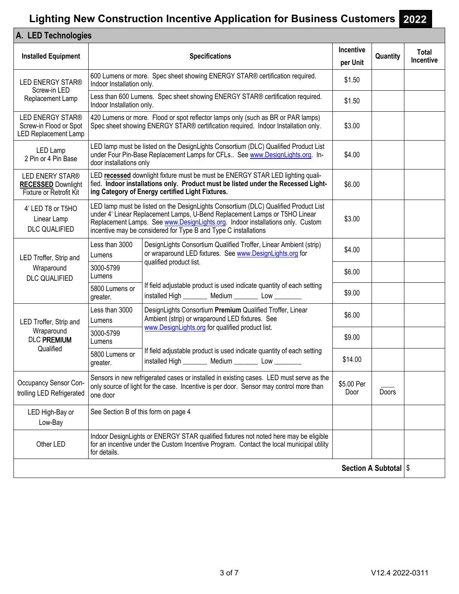| A. LED Technologies                                                       |                                                                                                                                                                                               |                                                                                                                                                                                                                                                                                                                        |                              |                         |                    |  |
|---------------------------------------------------------------------------|-----------------------------------------------------------------------------------------------------------------------------------------------------------------------------------------------|------------------------------------------------------------------------------------------------------------------------------------------------------------------------------------------------------------------------------------------------------------------------------------------------------------------------|------------------------------|-------------------------|--------------------|--|
| <b>Installed Equipment</b>                                                |                                                                                                                                                                                               | <b>Specifications</b>                                                                                                                                                                                                                                                                                                  | <b>Incentive</b><br>per Unit | Quantity                | Total<br>Incentive |  |
| <b>LED ENERGY STAR®</b>                                                   | 600 Lumens or more. Spec sheet showing ENERGY STAR® certification required.<br>Indoor Installation only.                                                                                      |                                                                                                                                                                                                                                                                                                                        |                              |                         |                    |  |
| Screw-in LED<br>Replacement Lamp                                          | Indoor Installation only.                                                                                                                                                                     | Less than 600 Lumens. Spec sheet showing ENERGY STAR® certification required.                                                                                                                                                                                                                                          | \$1.50                       |                         |                    |  |
| <b>LED ENERGY STAR®</b><br>Screw-in Flood or Spot<br>LED Replacement Lamp |                                                                                                                                                                                               | 420 Lumens or more. Flood or spot reflector lamps only (such as BR or PAR lamps)<br>Spec sheet showing ENERGY STAR® certification required. Indoor Installation only.                                                                                                                                                  | \$3.00                       |                         |                    |  |
| LED Lamp<br>2 Pin or 4 Pin Base                                           | door installations only                                                                                                                                                                       | LED lamp must be listed on the DesignLights Consortium (DLC) Qualified Product List<br>under Four Pin-Base Replacement Lamps for CFLs See www.DesignLights.org. In-                                                                                                                                                    | \$4.00                       |                         |                    |  |
| LED ENERY STAR®<br><b>RECESSED Downlight</b><br>Fixture or Retrofit Kit   |                                                                                                                                                                                               | LED recessed downlight fixture must be must be ENERGY STAR LED lighting quali-<br>fied. Indoor installations only. Product must be listed under the Recessed Light-<br>ing Category of Energy certified Light Fixtures.                                                                                                | \$6.00                       |                         |                    |  |
| 4' LED T8 or T5HO<br>Linear Lamp<br><b>DLC QUALIFIED</b>                  |                                                                                                                                                                                               | LED lamp must be listed on the DesignLights Consortium (DLC) Qualified Product List<br>under 4' Linear Replacement Lamps, U-Bend Replacement Lamps or T5HO Linear<br>Replacement Lamps. See www.DesignLights.org. Indoor installations only. Custom<br>incentive may be considered for Type B and Type C installations | \$3.00                       |                         |                    |  |
| LED Troffer, Strip and<br>Wraparound<br><b>DLC QUALIFIED</b>              | Less than 3000<br>Lumens                                                                                                                                                                      | DesignLights Consortium Qualified Troffer, Linear Ambient (strip)<br>or wraparound LED fixtures. See www.DesignLights.org for                                                                                                                                                                                          | \$4.00                       |                         |                    |  |
|                                                                           | 3000-5799<br>Lumens                                                                                                                                                                           | qualified product list.                                                                                                                                                                                                                                                                                                | \$6.00                       |                         |                    |  |
|                                                                           | 5800 Lumens or<br>greater.                                                                                                                                                                    | If field adjustable product is used indicate quantity of each setting<br>installed High _________ Medium _________ Low _________                                                                                                                                                                                       | \$9.00                       |                         |                    |  |
| LED Troffer, Strip and<br>Wraparound<br><b>DLC PREMIUM</b><br>Qualified   | Less than 3000<br>Lumens                                                                                                                                                                      | DesignLights Consortium Premium Qualified Troffer, Linear<br>Ambient (strip) or wraparound LED fixtures. See                                                                                                                                                                                                           | \$6.00                       |                         |                    |  |
|                                                                           | 3000-5799<br>Lumens                                                                                                                                                                           | www.DesignLights.org for qualified product list.                                                                                                                                                                                                                                                                       | \$9.00                       |                         |                    |  |
|                                                                           | 5800 Lumens or<br>greater.                                                                                                                                                                    | If field adjustable product is used indicate quantity of each setting<br>installed High __________ Medium __________ Low __________                                                                                                                                                                                    | \$14.00                      |                         |                    |  |
| Occupancy Sensor Con-<br>trolling LED Refrigerated                        | Sensors in new refrigerated cases or installed in existing cases. LED must serve as the<br>only source of light for the case. Incentive is per door. Sensor may control more than<br>one door |                                                                                                                                                                                                                                                                                                                        | \$5.00 Per<br>Door           | Doors                   |                    |  |
| LED High-Bay or<br>Low-Bay                                                | See Section B of this form on page 4                                                                                                                                                          |                                                                                                                                                                                                                                                                                                                        |                              |                         |                    |  |
| Other LED                                                                 | for details.                                                                                                                                                                                  | Indoor DesignLights or ENERGY STAR qualified fixtures not noted here may be eligible<br>for an incentive under the Custom Incentive Program. Contact the local municipal utility                                                                                                                                       |                              |                         |                    |  |
|                                                                           |                                                                                                                                                                                               |                                                                                                                                                                                                                                                                                                                        |                              | Section A Subtotal   \$ |                    |  |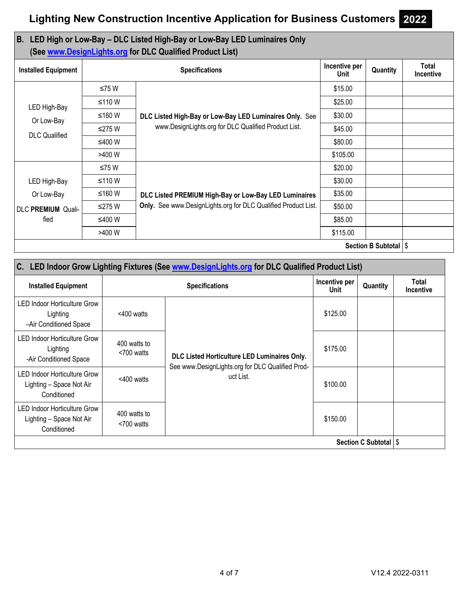## **B. LED High or Low-Bay – DLC Listed High-Bay or Low-Bay LED Luminaires Only (See www.DesignLights.org for DLC Qualified Product List)**

| <b>Installed Equipment</b> |          | Incentive per<br>Unit                                                                                                   | Quantity | <b>Total</b><br><b>Incentive</b> |  |
|----------------------------|----------|-------------------------------------------------------------------------------------------------------------------------|----------|----------------------------------|--|
| LED High-Bay<br>Or Low-Bay | ≤75 W    |                                                                                                                         | \$15.00  |                                  |  |
|                            | ≤110 W   | DLC Listed High-Bay or Low-Bay LED Luminaires Only. See<br>www.DesignLights.org for DLC Qualified Product List.         | \$25.00  |                                  |  |
|                            | ≤160 W   |                                                                                                                         | \$30.00  |                                  |  |
| <b>DLC</b> Qualified       | ≤275 W   |                                                                                                                         | \$45.00  |                                  |  |
|                            | ≤400 W   |                                                                                                                         | \$80.00  |                                  |  |
|                            | >400 W   |                                                                                                                         | \$105.00 |                                  |  |
|                            | ≤75W     |                                                                                                                         | \$20.00  |                                  |  |
| LED High-Bay               | $≤110 W$ |                                                                                                                         | \$30.00  |                                  |  |
| Or Low-Bay                 | ≤160 W   | DLC Listed PREMIUM High-Bay or Low-Bay LED Luminaires<br>Only. See www.DesignLights.org for DLC Qualified Product List. | \$35.00  |                                  |  |
| <b>DLC PREMIUM Quali-</b>  | ≤275 W   |                                                                                                                         | \$50.00  |                                  |  |
| fied<br>≤400 W             |          | \$85.00                                                                                                                 |          |                                  |  |
|                            | >400 W   |                                                                                                                         | \$115.00 |                                  |  |
| Section B Subtotal   \$    |          |                                                                                                                         |          |                                  |  |

| C. LED Indoor Grow Lighting Fixtures (See www.DesignLights.org for DLC Qualified Product List) |                            |                                                                                                  |          |                                  |  |  |
|------------------------------------------------------------------------------------------------|----------------------------|--------------------------------------------------------------------------------------------------|----------|----------------------------------|--|--|
| <b>Installed Equipment</b>                                                                     |                            | Incentive per<br>Unit                                                                            | Quantity | <b>Total</b><br><b>Incentive</b> |  |  |
| LED Indoor Horticulture Grow<br>Lighting<br>-Air Conditioned Space                             | $<$ 400 watts              |                                                                                                  | \$125.00 |                                  |  |  |
| <b>LED Indoor Horticulture Grow</b><br>Lighting<br>-Air Conditioned Space                      | 400 watts to<br><700 watts | DLC Listed Horticulture LED Luminaires Only.<br>See www.DesignLights.org for DLC Qualified Prod- | \$175.00 |                                  |  |  |
| <b>LED Indoor Horticulture Grow</b><br>Lighting - Space Not Air<br>Conditioned                 | $<$ 400 watts              | uct List.                                                                                        | \$100.00 |                                  |  |  |
| LED Indoor Horticulture Grow<br>Lighting - Space Not Air<br>Conditioned                        | 400 watts to<br><700 watts |                                                                                                  | \$150.00 |                                  |  |  |
| Section C Subtotal   \$                                                                        |                            |                                                                                                  |          |                                  |  |  |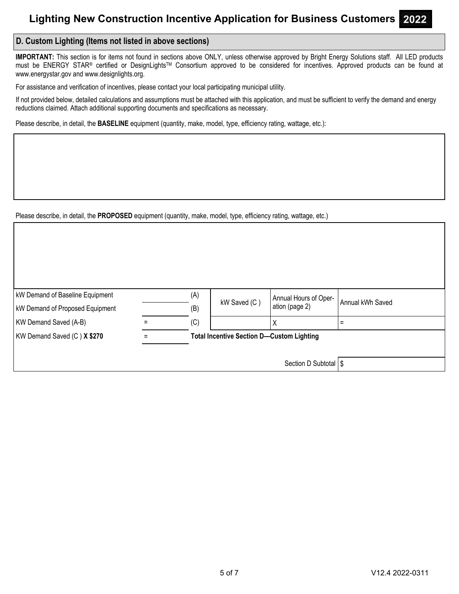## **D. Custom Lighting (Items not listed in above sections)**

**IMPORTANT:** This section is for items not found in sections above ONLY, unless otherwise approved by Bright Energy Solutions staff. All LED products must be ENERGY STAR® certified or DesignLights™ Consortium approved to be considered for incentives. Approved products can be found at www.energystar.gov and www.designlights.org.

For assistance and verification of incentives, please contact your local participating municipal utility.

If not provided below, detailed calculations and assumptions must be attached with this application, and must be sufficient to verify the demand and energy reductions claimed. Attach additional supporting documents and specifications as necessary.

Please describe, in detail, the **BASELINE** equipment (quantity, make, model, type, efficiency rating, wattage, etc.):

Please describe, in detail, the **PROPOSED** equipment (quantity, make, model, type, efficiency rating, wattage, etc.)

| <b>kW Demand of Baseline Equipment</b> | (A) | kW Saved (C)                                     | Annual Hours of Oper- | Annual kWh Saved |  |  |
|----------------------------------------|-----|--------------------------------------------------|-----------------------|------------------|--|--|
| <b>kW Demand of Proposed Equipment</b> | (B) |                                                  | ation (page 2)        |                  |  |  |
| KW Demand Saved (A-B)                  | (C) |                                                  |                       |                  |  |  |
| KW Demand Saved (C) X \$270            |     | <b>Total Incentive Section D-Custom Lighting</b> |                       |                  |  |  |
|                                        |     |                                                  |                       |                  |  |  |
|                                        |     |                                                  | Section D Subtotal S  |                  |  |  |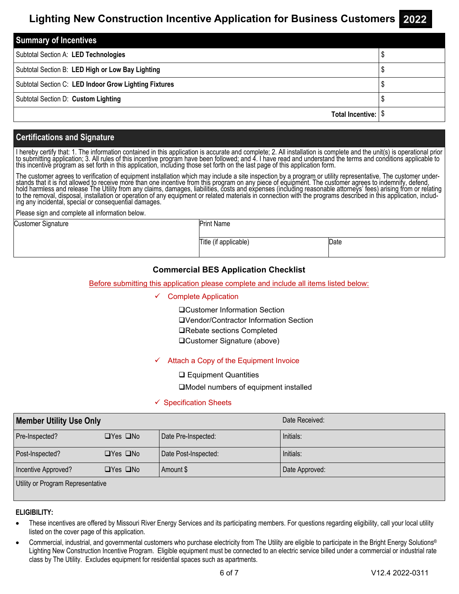| <b>Summary of Incentives</b>                          |  |
|-------------------------------------------------------|--|
| Subtotal Section A: LED Technologies                  |  |
| Subtotal Section B: LED High or Low Bay Lighting      |  |
| Subtotal Section C: LED Indoor Grow Lighting Fixtures |  |
| Subtotal Section D: Custom Lighting                   |  |
| Total Incentive:                                      |  |

## **Certifications and Signature**

I hereby certify that: 1. The information contained in this application is accurate and complete; 2. All installation is complete and the unit(s) is operational prior to submitting application; 3. All rules of this incenti

The customer agrees to verification of equipment installation which may include a site inspection by a program or utility representative. The customer understands that it is not allowed to receive more than one incentive from this program on any piece of equipment. The customer agrees to indemnify, defend,<br>hold harmless and release The Utility from any claims, damages, liabil

Please sign and complete all information below.

Customer Signature

Print Name

Title (if applicable) Date

## **Commercial BES Application Checklist**

### Before submitting this application please complete and include all items listed below:

#### $\checkmark$  Complete Application

Customer Information Section Vendor/Contractor Information Section **□Rebate sections Completed** Customer Signature (above)

### $\checkmark$  Attach a Copy of the Equipment Invoice

**□ Equipment Quantities** 

Model numbers of equipment installed

### $\checkmark$  Specification Sheets

| <b>Member Utility Use Only</b>    |                      |                      | Date Received: |  |  |
|-----------------------------------|----------------------|----------------------|----------------|--|--|
| Pre-Inspected?                    | $\Box$ Yes $\Box$ No | Date Pre-Inspected:  | Initials:      |  |  |
| Post-Inspected?                   | $\Box$ Yes $\Box$ No | Date Post-Inspected: | Initials:      |  |  |
| Incentive Approved?               | $\Box$ Yes $\Box$ No | Amount \$            | Date Approved: |  |  |
| Utility or Program Representative |                      |                      |                |  |  |

### **ELIGIBILITY:**

- These incentives are offered by Missouri River Energy Services and its participating members. For questions regarding eligibility, call your local utility listed on the cover page of this application.
- Commercial, industrial, and governmental customers who purchase electricity from The Utility are eligible to participate in the Bright Energy Solutions® Lighting New Construction Incentive Program. Eligible equipment must be connected to an electric service billed under a commercial or industrial rate class by The Utility. Excludes equipment for residential spaces such as apartments.